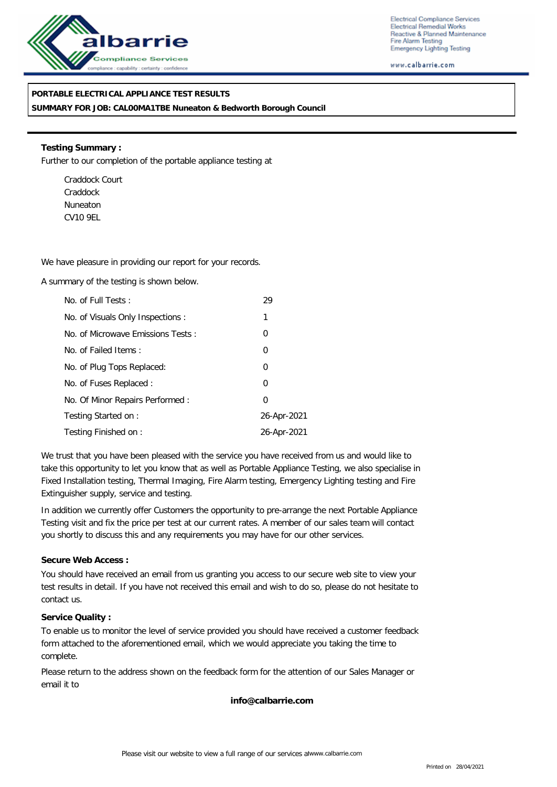

Electrical Compliance Services Electrical Remedial Works Reactive & Planned Maintenance Fire Alarm Testing Emergency Lighting Testing

www.calbarrie.com

## **PORTABLE ELECTRICAL APPLIANCE TEST RESULTS**

**SUMMARY FOR JOB: CAL00MA1TBE Nuneaton & Bedworth Borough Council**

**Testing Summary :** Further to our completion of the portable appliance testing at

Craddock Court Craddock Nuneaton CV10 9EL

We have pleasure in providing our report for your records.

A summary of the testing is shown below.

| No. of Full Tests:                | 29             |
|-----------------------------------|----------------|
| No. of Visuals Only Inspections : | 1              |
| No. of Microwave Emissions Tests: | 0              |
| No. of Failed Items:              | 0              |
| No. of Plug Tops Replaced:        | 0              |
| No. of Fuses Replaced:            | $\overline{0}$ |
| No. Of Minor Repairs Performed:   | $\Omega$       |
| Testing Started on:               | 26-Apr-2021    |
| Testing Finished on:              | 26-Apr-2021    |

We trust that you have been pleased with the service you have received from us and would like to take this opportunity to let you know that as well as Portable Appliance Testing, we also specialise in Fixed Installation testing, Thermal Imaging, Fire Alarm testing, Emergency Lighting testing and Fire Extinguisher supply, service and testing.

In addition we currently offer Customers the opportunity to pre-arrange the next Portable Appliance Testing visit and fix the price per test at our current rates. A member of our sales team will contact you shortly to discuss this and any requirements you may have for our other services.

### **Secure Web Access :**

You should have received an email from us granting you access to our secure web site to view your test results in detail. If you have not received this email and wish to do so, please do not hesitate to contact us.

#### **Service Quality :**

To enable us to monitor the level of service provided you should have received a customer feedback form attached to the aforementioned email, which we would appreciate you taking the time to complete.

Please return to the address shown on the feedback form for the attention of our Sales Manager or email it to

**info@calbarrie.com**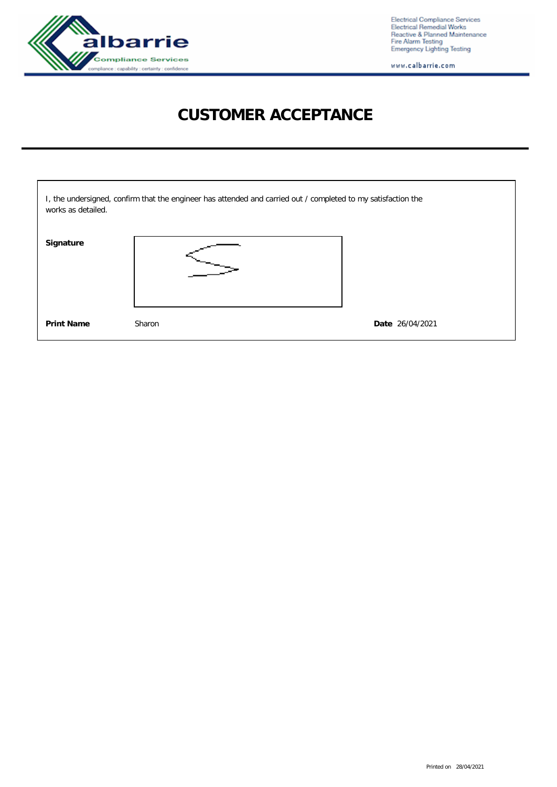

Electrical Compliance Services<br>Electrical Remedial Works<br>Reactive & Planned Maintenance<br>Fire Alarm Testing<br>Emergency Lighting Testing

www.calbarrie.com

# **CUSTOMER ACCEPTANCE**

| works as detailed. | I, the undersigned, confirm that the engineer has attended and carried out / completed to my satisfaction the |                 |
|--------------------|---------------------------------------------------------------------------------------------------------------|-----------------|
| Signature          |                                                                                                               |                 |
| Print Name         | Sharon                                                                                                        | Date 26/04/2021 |